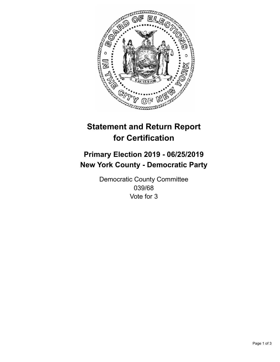

## **Statement and Return Report for Certification**

## **Primary Election 2019 - 06/25/2019 New York County - Democratic Party**

Democratic County Committee 039/68 Vote for 3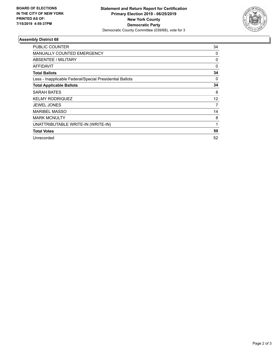

## **Assembly District 68**

| PUBLIC COUNTER                                           | 34       |
|----------------------------------------------------------|----------|
| <b>MANUALLY COUNTED EMERGENCY</b>                        | 0        |
| ABSENTEE / MILITARY                                      | 0        |
| <b>AFFIDAVIT</b>                                         | $\Omega$ |
| <b>Total Ballots</b>                                     | 34       |
| Less - Inapplicable Federal/Special Presidential Ballots | 0        |
| <b>Total Applicable Ballots</b>                          | 34       |
| <b>SARAH BATES</b>                                       | 8        |
| <b>KELMY RODRIQUEZ</b>                                   | 12       |
| <b>JEWEL JONES</b>                                       | 7        |
| <b>MARIBEL MASSO</b>                                     | 14       |
| <b>MARK MCNULTY</b>                                      | 8        |
| UNATTRIBUTABLE WRITE-IN (WRITE-IN)                       | 1        |
| <b>Total Votes</b>                                       | 50       |
| Unrecorded                                               | 52       |